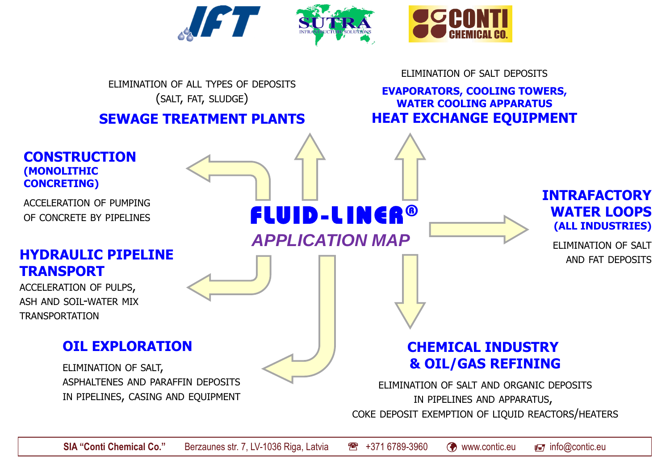